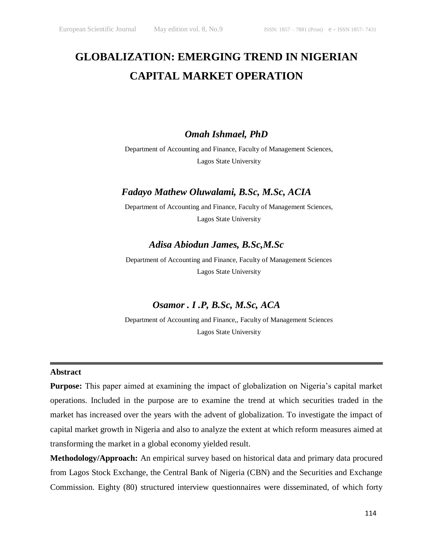# **GLOBALIZATION: EMERGING TREND IN NIGERIAN CAPITAL MARKET OPERATION**

### *Omah Ishmael, PhD*

Department of Accounting and Finance, Faculty of Management Sciences, Lagos State University

# *Fadayo Mathew Oluwalami, B.Sc, M.Sc, ACIA*

Department of Accounting and Finance, Faculty of Management Sciences, Lagos State University

# *Adisa Abiodun James, B.Sc,M.Sc*

Department of Accounting and Finance, Faculty of Management Sciences Lagos State University

# *Osamor . I .P, B.Sc, M.Sc, ACA*

Department of Accounting and Finance,, Faculty of Management Sciences Lagos State University

#### **Abstract**

**Purpose:** This paper aimed at examining the impact of globalization on Nigeria's capital market operations. Included in the purpose are to examine the trend at which securities traded in the market has increased over the years with the advent of globalization. To investigate the impact of capital market growth in Nigeria and also to analyze the extent at which reform measures aimed at transforming the market in a global economy yielded result.

**Methodology/Approach:** An empirical survey based on historical data and primary data procured from Lagos Stock Exchange, the Central Bank of Nigeria (CBN) and the Securities and Exchange Commission. Eighty (80) structured interview questionnaires were disseminated, of which forty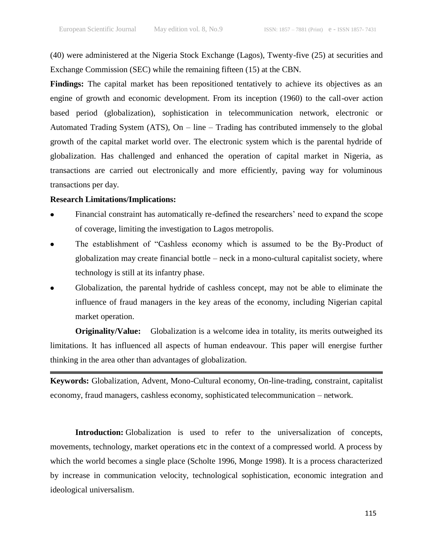(40) were administered at the Nigeria Stock Exchange (Lagos), Twenty-five (25) at securities and Exchange Commission (SEC) while the remaining fifteen (15) at the CBN.

Findings: The capital market has been repositioned tentatively to achieve its objectives as an engine of growth and economic development. From its inception (1960) to the call-over action based period (globalization), sophistication in telecommunication network, electronic or Automated Trading System (ATS), On – line – Trading has contributed immensely to the global growth of the capital market world over. The electronic system which is the parental hydride of globalization. Has challenged and enhanced the operation of capital market in Nigeria, as transactions are carried out electronically and more efficiently, paving way for voluminous transactions per day.

#### **Research Limitations/Implications:**

- Financial constraint has automatically re-defined the researchers' need to expand the scope of coverage, limiting the investigation to Lagos metropolis.
- The establishment of "Cashless economy which is assumed to be the By-Product of globalization may create financial bottle – neck in a mono-cultural capitalist society, where technology is still at its infantry phase.
- Globalization, the parental hydride of cashless concept, may not be able to eliminate the influence of fraud managers in the key areas of the economy, including Nigerian capital market operation.

**Originality/Value:** Globalization is a welcome idea in totality, its merits outweighed its limitations. It has influenced all aspects of human endeavour. This paper will energise further thinking in the area other than advantages of globalization.

**Keywords:** Globalization, Advent, Mono-Cultural economy, On-line-trading, constraint, capitalist economy, fraud managers, cashless economy, sophisticated telecommunication – network.

**Introduction:** Globalization is used to refer to the universalization of concepts, movements, technology, market operations etc in the context of a compressed world. A process by which the world becomes a single place (Scholte 1996, Monge 1998). It is a process characterized by increase in communication velocity, technological sophistication, economic integration and ideological universalism.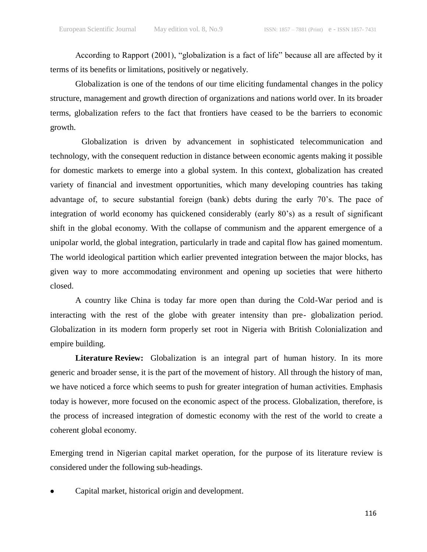According to Rapport (2001), "globalization is a fact of life" because all are affected by it terms of its benefits or limitations, positively or negatively.

Globalization is one of the tendons of our time eliciting fundamental changes in the policy structure, management and growth direction of organizations and nations world over. In its broader terms, globalization refers to the fact that frontiers have ceased to be the barriers to economic growth.

Globalization is driven by advancement in sophisticated telecommunication and technology, with the consequent reduction in distance between economic agents making it possible for domestic markets to emerge into a global system. In this context, globalization has created variety of financial and investment opportunities, which many developing countries has taking advantage of, to secure substantial foreign (bank) debts during the early 70's. The pace of integration of world economy has quickened considerably (early 80's) as a result of significant shift in the global economy. With the collapse of communism and the apparent emergence of a unipolar world, the global integration, particularly in trade and capital flow has gained momentum. The world ideological partition which earlier prevented integration between the major blocks, has given way to more accommodating environment and opening up societies that were hitherto closed.

A country like China is today far more open than during the Cold-War period and is interacting with the rest of the globe with greater intensity than pre- globalization period. Globalization in its modern form properly set root in Nigeria with British Colonialization and empire building.

**Literature Review:** Globalization is an integral part of human history. In its more generic and broader sense, it is the part of the movement of history. All through the history of man, we have noticed a force which seems to push for greater integration of human activities. Emphasis today is however, more focused on the economic aspect of the process. Globalization, therefore, is the process of increased integration of domestic economy with the rest of the world to create a coherent global economy.

Emerging trend in Nigerian capital market operation, for the purpose of its literature review is considered under the following sub-headings.

Capital market, historical origin and development.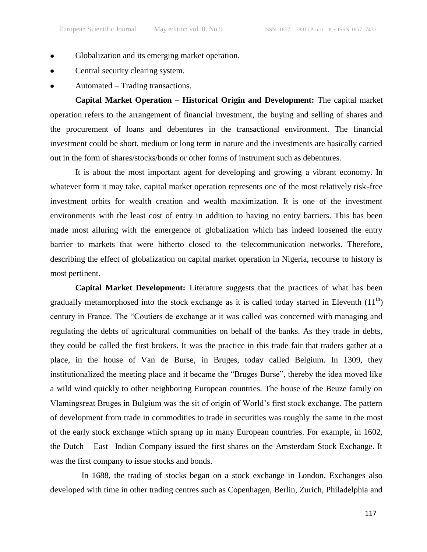- Globalization and its emerging market operation.
- Central security clearing system.
- Automated Trading transactions.

**Capital Market Operation – Historical Origin and Development:** The capital market operation refers to the arrangement of financial investment, the buying and selling of shares and the procurement of loans and debentures in the transactional environment. The financial investment could be short, medium or long term in nature and the investments are basically carried out in the form of shares/stocks/bonds or other forms of instrument such as debentures.

It is about the most important agent for developing and growing a vibrant economy. In whatever form it may take, capital market operation represents one of the most relatively risk-free investment orbits for wealth creation and wealth maximization. It is one of the investment environments with the least cost of entry in addition to having no entry barriers. This has been made most alluring with the emergence of globalization which has indeed loosened the entry barrier to markets that were hitherto closed to the telecommunication networks. Therefore, describing the effect of globalization on capital market operation in Nigeria, recourse to history is most pertinent.

**Capital Market Development:** Literature suggests that the practices of what has been gradually metamorphosed into the stock exchange as it is called today started in Eleventh  $(11<sup>th</sup>)$ century in France. The "Coutiers de exchange at it was called was concerned with managing and regulating the debts of agricultural communities on behalf of the banks. As they trade in debts, they could be called the first brokers. It was the practice in this trade fair that traders gather at a place, in the house of Van de Burse, in Bruges, today called Belgium. In 1309, they institutionalized the meeting place and it became the "Bruges Burse", thereby the idea moved like a wild wind quickly to other neighboring European countries. The house of the Beuze family on Vlamingsreat Bruges in Bulgium was the sit of origin of World's first stock exchange. The pattern of development from trade in commodities to trade in securities was roughly the same in the most of the early stock exchange which sprang up in many European countries. For example, in 1602, the Dutch – East –Indian Company issued the first shares on the Amsterdam Stock Exchange. It was the first company to issue stocks and bonds.

In 1688, the trading of stocks began on a stock exchange in London. Exchanges also developed with time in other trading centres such as Copenhagen, Berlin, Zurich, Philadelphia and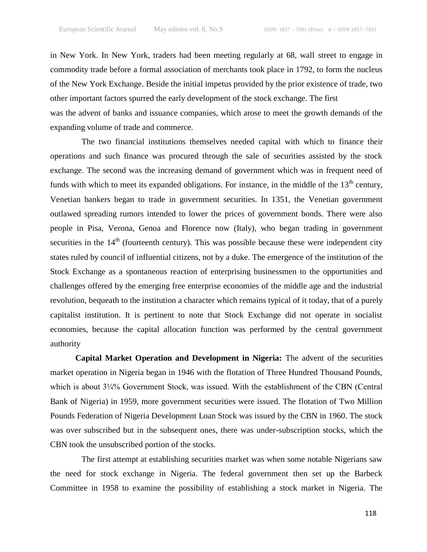in New York. In New York, traders had been meeting regularly at 68, wall street to engage in commodity trade before a formal association of merchants took place in 1792, to form the nucleus of the New York Exchange. Beside the initial impetus provided by the prior existence of trade, two other important factors spurred the early development of the stock exchange. The first was the advent of banks and issuance companies, which arose to meet the growth demands of the expanding volume of trade and commerce.

The two financial institutions themselves needed capital with which to finance their operations and such finance was procured through the sale of securities assisted by the stock exchange. The second was the increasing demand of government which was in frequent need of funds with which to meet its expanded obligations. For instance, in the middle of the  $13<sup>th</sup>$  century, Venetian bankers began to trade in government securities. In 1351, the Venetian government outlawed spreading rumors intended to lower the prices of government bonds. There were also people in Pisa, Verona, Genoa and Florence now (Italy), who began trading in government securities in the  $14<sup>th</sup>$  (fourteenth century). This was possible because these were independent city states ruled by council of influential citizens, not by a duke. The emergence of the institution of the Stock Exchange as a spontaneous reaction of enterprising businessmen to the opportunities and challenges offered by the emerging free enterprise economies of the middle age and the industrial revolution, bequeath to the institution a character which remains typical of it today, that of a purely capitalist institution. It is pertinent to note that Stock Exchange did not operate in socialist economies, because the capital allocation function was performed by the central government authority

**Capital Market Operation and Development in Nigeria:** The advent of the securities market operation in Nigeria began in 1946 with the flotation of Three Hundred Thousand Pounds, which is about  $3\frac{1}{4}\%$  Government Stock, was issued. With the establishment of the CBN (Central Bank of Nigeria) in 1959, more government securities were issued. The flotation of Two Million Pounds Federation of Nigeria Development Loan Stock was issued by the CBN in 1960. The stock was over subscribed but in the subsequent ones, there was under-subscription stocks, which the CBN took the unsubscribed portion of the stocks.

The first attempt at establishing securities market was when some notable Nigerians saw the need for stock exchange in Nigeria. The federal government then set up the Barbeck Committee in 1958 to examine the possibility of establishing a stock market in Nigeria. The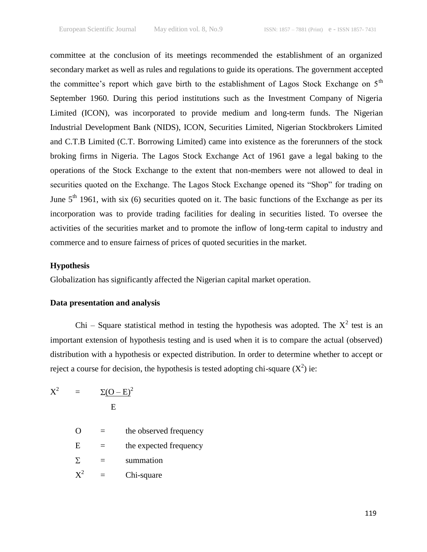committee at the conclusion of its meetings recommended the establishment of an organized secondary market as well as rules and regulations to guide its operations. The government accepted the committee's report which gave birth to the establishment of Lagos Stock Exchange on  $5<sup>th</sup>$ September 1960. During this period institutions such as the Investment Company of Nigeria Limited (ICON), was incorporated to provide medium and long-term funds. The Nigerian Industrial Development Bank (NIDS), ICON, Securities Limited, Nigerian Stockbrokers Limited and C.T.B Limited (C.T. Borrowing Limited) came into existence as the forerunners of the stock broking firms in Nigeria. The Lagos Stock Exchange Act of 1961 gave a legal baking to the operations of the Stock Exchange to the extent that non-members were not allowed to deal in securities quoted on the Exchange. The Lagos Stock Exchange opened its "Shop" for trading on June  $5<sup>th</sup>$  1961, with six (6) securities quoted on it. The basic functions of the Exchange as per its incorporation was to provide trading facilities for dealing in securities listed. To oversee the activities of the securities market and to promote the inflow of long-term capital to industry and commerce and to ensure fairness of prices of quoted securities in the market.

#### **Hypothesis**

Globalization has significantly affected the Nigerian capital market operation.

#### **Data presentation and analysis**

Chi – Square statistical method in testing the hypothesis was adopted. The  $X^2$  test is an important extension of hypothesis testing and is used when it is to compare the actual (observed) distribution with a hypothesis or expected distribution. In order to determine whether to accept or reject a course for decision, the hypothesis is tested adopting chi-square  $(X^2)$  ie:

 $\rm\,X}^2$  $=$   $\Sigma (O - E)^2$ E

| $\Omega$       |   | the observed frequency |
|----------------|---|------------------------|
| E              |   | the expected frequency |
| Σ.             | = | summation              |
| $\mathbf{X}^2$ |   | Chi-square             |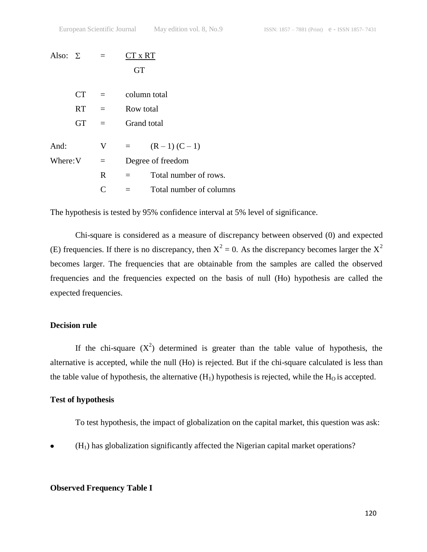| Also: $\Sigma$ |           | $=$          | CT x RT   |                         |
|----------------|-----------|--------------|-----------|-------------------------|
|                |           |              | <b>GT</b> |                         |
|                | <b>CT</b> | $=$          |           | column total            |
|                | <b>RT</b> | $\equiv$     |           | Row total               |
|                | <b>GT</b> | $=$          |           | <b>Grand</b> total      |
| And:           |           | V            | $=$       | $(R-1) (C-1)$           |
| Where: V       |           | $=$          |           | Degree of freedom       |
|                |           | $\mathbf{R}$ | $=$       | Total number of rows.   |
|                |           | C            |           | Total number of columns |
|                |           |              |           |                         |

The hypothesis is tested by 95% confidence interval at 5% level of significance.

Chi-square is considered as a measure of discrepancy between observed (0) and expected (E) frequencies. If there is no discrepancy, then  $X^2 = 0$ . As the discrepancy becomes larger the  $X^2$ becomes larger. The frequencies that are obtainable from the samples are called the observed frequencies and the frequencies expected on the basis of null (Ho) hypothesis are called the expected frequencies.

#### **Decision rule**

If the chi-square  $(X^2)$  determined is greater than the table value of hypothesis, the alternative is accepted, while the null (Ho) is rejected. But if the chi-square calculated is less than the table value of hypothesis, the alternative  $(H_1)$  hypothesis is rejected, while the  $H_0$  is accepted.

#### **Test of hypothesis**

To test hypothesis, the impact of globalization on the capital market, this question was ask:

(H1) has globalization significantly affected the Nigerian capital market operations?

#### **Observed Frequency Table I**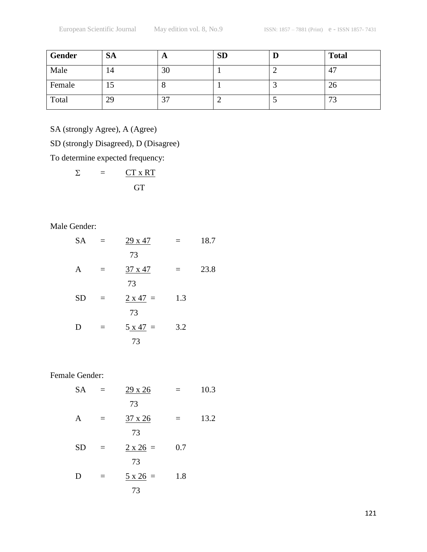| Gender | <b>SA</b> | A                        | <b>SD</b> | IJ | <b>Total</b>         |
|--------|-----------|--------------------------|-----------|----|----------------------|
| Male   | 14        | 30                       |           |    | 47                   |
| Female | 19        |                          |           |    | 26                   |
| Total  | 29        | $\sim$<br>$\mathfrak{I}$ |           |    | $\mathcal{L}$<br>د ا |

SA (strongly Agree), A (Agree)

SD (strongly Disagreed), D (Disagree)

To determine expected frequency:

 $\sum$  $=$   $CT x RT$ **GT** 

Male Gender:

| <b>SA</b> | $=$ | 29 x 47         | $=$ | 18.7 |
|-----------|-----|-----------------|-----|------|
|           |     | 73              |     |      |
| A         | $=$ | 37 x 47         | $=$ | 23.8 |
|           |     | 73              |     |      |
| <b>SD</b> | $=$ | $2 \times 47 =$ | 1.3 |      |
|           |     | 73              |     |      |
| D         | $=$ | $5 x 47 =$      | 3.2 |      |
|           |     | 73              |     |      |

Female Gender:

SA =  $\frac{29 \times 26}{ }$  = 10.3 73 A =  $\frac{37 \times 26}{ }$  = 13.2 73  $SD = 2 \times 26 = 0.7$  73 D =  $5 \times 26 = 1.8$ 73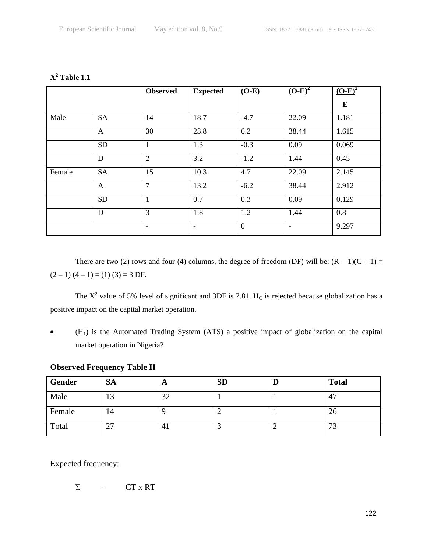|        |           | <b>Observed</b>          | <b>Expected</b>          | $(O-E)$        | $(O-E)^2$                | $(O-E)^2$ |
|--------|-----------|--------------------------|--------------------------|----------------|--------------------------|-----------|
|        |           |                          |                          |                |                          | $\bf{E}$  |
| Male   | <b>SA</b> | 14                       | 18.7                     | $-4.7$         | 22.09                    | 1.181     |
|        | A         | 30                       | 23.8                     | 6.2            | 38.44                    | 1.615     |
|        | <b>SD</b> | $\mathbf{1}$             | 1.3                      | $-0.3$         | 0.09                     | 0.069     |
|        | D         | $\overline{2}$           | 3.2                      | $-1.2$         | 1.44                     | 0.45      |
| Female | <b>SA</b> | 15                       | 10.3                     | 4.7            | 22.09                    | 2.145     |
|        | A         | $\overline{7}$           | 13.2                     | $-6.2$         | 38.44                    | 2.912     |
|        | <b>SD</b> | 1                        | 0.7                      | 0.3            | 0.09                     | 0.129     |
|        | D         | 3                        | 1.8                      | 1.2            | 1.44                     | 0.8       |
|        |           | $\overline{\phantom{a}}$ | $\overline{\phantom{a}}$ | $\overline{0}$ | $\overline{\phantom{a}}$ | 9.297     |

**X <sup>2</sup> Table 1.1**

There are two (2) rows and four (4) columns, the degree of freedom (DF) will be:  $(R - 1)(C - 1) =$  $(2-1) (4-1) = (1) (3) = 3 DF.$ 

The  $X^2$  value of 5% level of significant and 3DF is 7.81. H<sub>0</sub> is rejected because globalization has a positive impact on the capital market operation.

 $(H<sub>1</sub>)$  is the Automated Trading System (ATS) a positive impact of globalization on the capital  $\bullet$ market operation in Nigeria?

# **Observed Frequency Table II**

| Gender | <b>SA</b> | A  | <b>SD</b> | IJ | <b>Total</b>         |
|--------|-----------|----|-----------|----|----------------------|
| Male   | 13        | 32 |           |    | 47                   |
| Female | 14        |    |           |    | 26                   |
| Total  | 27        | 41 |           |    | $\mathcal{L}$<br>ل ا |

Expected frequency:

$$
\Sigma = \underline{CT \times RT}
$$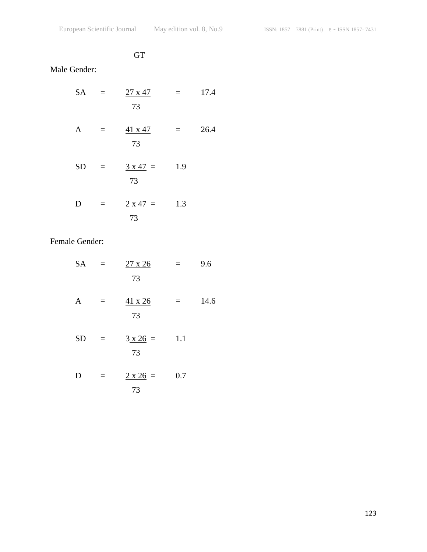# **GT**

# Male Gender:

| <b>SA</b> | $\equiv$ | $27 \times 47$<br>73  | $=$ | 17.4 |
|-----------|----------|-----------------------|-----|------|
| A         | $\equiv$ | 41 x 47<br>73         | II. | 26.4 |
| <b>SD</b> | $\equiv$ | $3 \times 47 =$<br>73 | 1.9 |      |
| D         | $=$      | $2 \times 47 =$<br>73 | 1.3 |      |

Female Gender:

| <b>SA</b> | $\mathbf{r} = \mathbf{r}$ | $27 \times 26$<br>73  | $=$ $-$ | 9.6  |
|-----------|---------------------------|-----------------------|---------|------|
| A         | $=$                       | $41 \times 26$<br>73  | $=$     | 14.6 |
| <b>SD</b> | $\equiv$                  | $3 \times 26 =$<br>73 | 1.1     |      |
| D         | $\equiv$                  | $2 \times 26 =$<br>73 | 0.7     |      |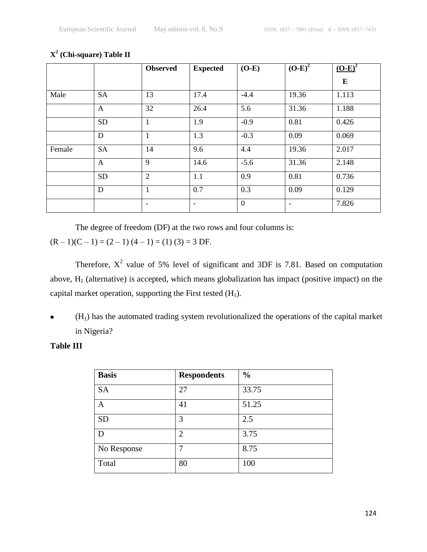|        |              | <b>Observed</b>          | <b>Expected</b>          | $(O-E)$        | $(O-E)^2$                | $(O-E)^2$ |
|--------|--------------|--------------------------|--------------------------|----------------|--------------------------|-----------|
|        |              |                          |                          |                |                          | $\bf{E}$  |
| Male   | <b>SA</b>    | 13                       | 17.4                     | $-4.4$         | 19.36                    | 1.113     |
|        | A            | 32                       | 26.4                     | 5.6            | 31.36                    | 1.188     |
|        | <b>SD</b>    | $\mathbf{1}$             | 1.9                      | $-0.9$         | 0.81                     | 0.426     |
|        | D            | $\mathbf{1}$             | 1.3                      | $-0.3$         | 0.09                     | 0.069     |
| Female | <b>SA</b>    | 14                       | 9.6                      | 4.4            | 19.36                    | 2.017     |
|        | $\mathbf{A}$ | 9                        | 14.6                     | $-5.6$         | 31.36                    | 2.148     |
|        | <b>SD</b>    | $\overline{2}$           | 1.1                      | 0.9            | 0.81                     | 0.736     |
|        | D            | $\mathbf{1}$             | 0.7                      | 0.3            | 0.09                     | 0.129     |
|        |              | $\overline{\phantom{a}}$ | $\overline{\phantom{a}}$ | $\overline{0}$ | $\overline{\phantom{a}}$ | 7.826     |

#### **X 2 (Chi-square) Table II**

The degree of freedom (DF) at the two rows and four columns is:

 $(R-1)(C-1) = (2-1)(4-1) = (1)(3) = 3 \text{ DF}.$ 

Therefore,  $X^2$  value of 5% level of significant and 3DF is 7.81. Based on computation above,  $H_1$  (alternative) is accepted, which means globalization has impact (positive impact) on the capital market operation, supporting the First tested  $(H_1)$ .

(H1) has the automated trading system revolutionalized the operations of the capital market  $\bullet$ in Nigeria?

# **Table III**

| <b>Basis</b> | <b>Respondents</b> | $\frac{0}{0}$ |
|--------------|--------------------|---------------|
| <b>SA</b>    | 27                 | 33.75         |
| A            | 41                 | 51.25         |
| <b>SD</b>    | 3                  | 2.5           |
| D            | $\overline{2}$     | 3.75          |
| No Response  |                    | 8.75          |
| Total        | 80                 | 100           |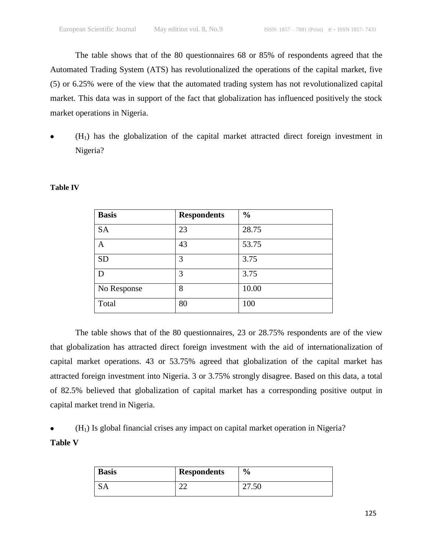The table shows that of the 80 questionnaires 68 or 85% of respondents agreed that the Automated Trading System (ATS) has revolutionalized the operations of the capital market, five (5) or 6.25% were of the view that the automated trading system has not revolutionalized capital market. This data was in support of the fact that globalization has influenced positively the stock market operations in Nigeria.

 $(H<sub>1</sub>)$  has the globalization of the capital market attracted direct foreign investment in Nigeria?

| <b>Basis</b> | <b>Respondents</b> | $\frac{0}{0}$ |
|--------------|--------------------|---------------|
| <b>SA</b>    | 23                 | 28.75         |
| Α            | 43                 | 53.75         |
| <b>SD</b>    | 3                  | 3.75          |
| D            | 3                  | 3.75          |
| No Response  | 8                  | 10.00         |
| Total        | 80                 | 100           |

#### **Table IV**

The table shows that of the 80 questionnaires, 23 or 28.75% respondents are of the view that globalization has attracted direct foreign investment with the aid of internationalization of capital market operations. 43 or 53.75% agreed that globalization of the capital market has attracted foreign investment into Nigeria. 3 or 3.75% strongly disagree. Based on this data, a total of 82.5% believed that globalization of capital market has a corresponding positive output in capital market trend in Nigeria.

 $(H<sub>1</sub>)$  Is global financial crises any impact on capital market operation in Nigeria? **Table V**

| <b>Basis</b> | <b>Respondents</b> | $\frac{0}{0}$ |
|--------------|--------------------|---------------|
| <b>SA</b>    | ~~<br>- -          | 21.JU         |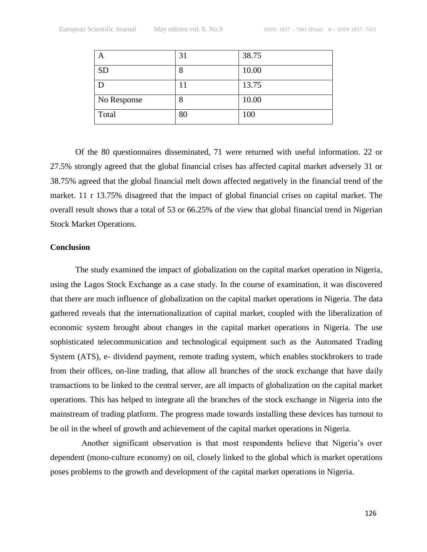| A           | 31 | 38.75 |
|-------------|----|-------|
| <b>SD</b>   | 8  | 10.00 |
|             | 11 | 13.75 |
| No Response | 8  | 10.00 |
| Total       | 80 | 100   |

Of the 80 questionnaires disseminated, 71 were returned with useful information. 22 or 27.5% strongly agreed that the global financial crises has affected capital market adversely 31 or 38.75% agreed that the global financial melt down affected negatively in the financial trend of the market. 11 r 13.75% disagreed that the impact of global financial crises on capital market. The overall result shows that a total of 53 or 66.25% of the view that global financial trend in Nigerian Stock Market Operations.

#### **Conclusion**

The study examined the impact of globalization on the capital market operation in Nigeria, using the Lagos Stock Exchange as a case study. In the course of examination, it was discovered that there are much influence of globalization on the capital market operations in Nigeria. The data gathered reveals that the internationalization of capital market, coupled with the liberalization of economic system brought about changes in the capital market operations in Nigeria. The use sophisticated telecommunication and technological equipment such as the Automated Trading System (ATS), e- dividend payment, remote trading system, which enables stockbrokers to trade from their offices, on-line trading, that allow all branches of the stock exchange that have daily transactions to be linked to the central server, are all impacts of globalization on the capital market operations. This has helped to integrate all the branches of the stock exchange in Nigeria into the mainstream of trading platform. The progress made towards installing these devices has turnout to be oil in the wheel of growth and achievement of the capital market operations in Nigeria.

Another significant observation is that most respondents believe that Nigeria's over dependent (mono-culture economy) on oil, closely linked to the global which is market operations poses problems to the growth and development of the capital market operations in Nigeria.